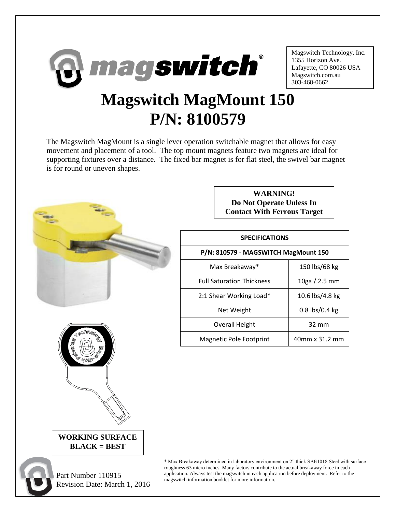

Magswitch Technology, Inc. 1355 Horizon Ave. Lafayette, CO 80026 USA Magswitch.com.au 303-468-0662

## **Magswitch MagMount 150 P/N: 8100579**

The Magswitch MagMount is a single lever operation switchable magnet that allows for easy movement and placement of a tool. The top mount magnets feature two magnets are ideal for supporting fixtures over a distance. The fixed bar magnet is for flat steel, the swivel bar magnet is for round or uneven shapes.



Part Number 110915

Revision Date: March 1, 2016

**WORKING SURFACE BLACK = BEST**

**WARNING! Do Not Operate Unless In Contact With Ferrous Target**

| <b>SPECIFICATIONS</b>                |                  |
|--------------------------------------|------------------|
| P/N: 810579 - MAGSWITCH MagMount 150 |                  |
| Max Breakaway*                       | 150 lbs/68 kg    |
| <b>Full Saturation Thickness</b>     | 10ga / 2.5 mm    |
| 2:1 Shear Working Load*              | 10.6 lbs/4.8 kg  |
| Net Weight                           | $0.8$ lbs/0.4 kg |
| Overall Height                       | $32 \text{ mm}$  |
| <b>Magnetic Pole Footprint</b>       | 40mm x 31.2 mm   |

\* Max Breakaway determined in laboratory environment on 2" thick SAE1018 Steel with surface roughness 63 micro inches. Many factors contribute to the actual breakaway force in each application. Always test the magswitch in each application before deployment. Refer to the magswitch information booklet for more information.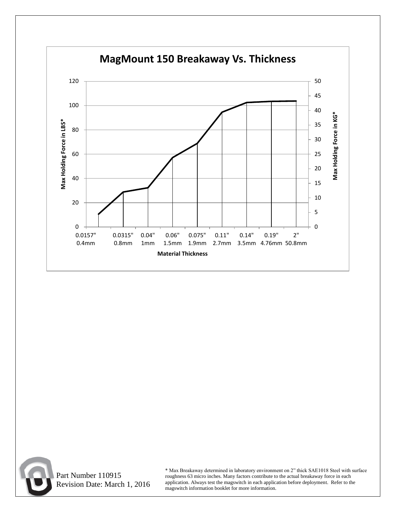



 Part Number 110915 Revision Date: March 1, 2016

\* Max Breakaway determined in laboratory environment on 2" thick SAE1018 Steel with surface roughness 63 micro inches. Many factors contribute to the actual breakaway force in each application. Always test the magswitch in each application before deployment. Refer to the magswitch information booklet for more information.